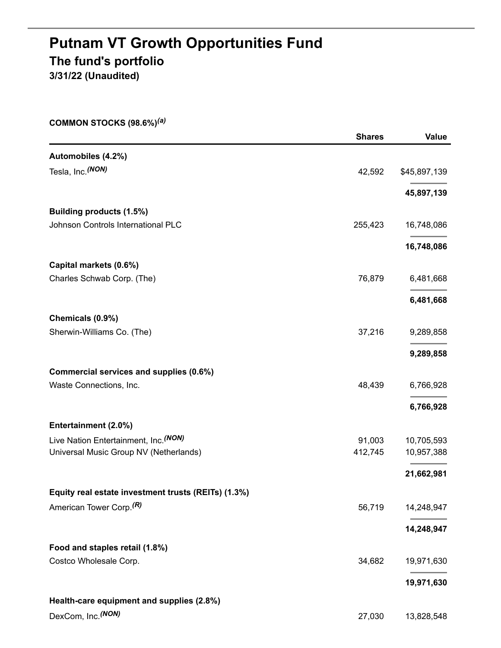# **Putnam VT Growth Opportunities Fund The fund's portfolio 3/31/22 (Unaudited)**

**COMMON STOCKS (98.6%)** *(a)*

|                                                     | <b>Shares</b> | <b>Value</b> |
|-----------------------------------------------------|---------------|--------------|
| Automobiles (4.2%)                                  |               |              |
| Tesla, Inc. (NON)                                   | 42,592        | \$45,897,139 |
|                                                     |               | 45,897,139   |
| <b>Building products (1.5%)</b>                     |               |              |
| Johnson Controls International PLC                  | 255,423       | 16,748,086   |
|                                                     |               | 16,748,086   |
| Capital markets (0.6%)                              |               |              |
| Charles Schwab Corp. (The)                          | 76,879        | 6,481,668    |
|                                                     |               | 6,481,668    |
| Chemicals (0.9%)                                    |               |              |
| Sherwin-Williams Co. (The)                          | 37,216        | 9,289,858    |
|                                                     |               | 9,289,858    |
| Commercial services and supplies (0.6%)             |               |              |
| Waste Connections, Inc.                             | 48,439        | 6,766,928    |
|                                                     |               | 6,766,928    |
| Entertainment (2.0%)                                |               |              |
| Live Nation Entertainment, Inc. (NON)               | 91,003        | 10,705,593   |
| Universal Music Group NV (Netherlands)              | 412,745       | 10,957,388   |
|                                                     |               | 21,662,981   |
| Equity real estate investment trusts (REITs) (1.3%) |               |              |
| American Tower Corp. <sup>(R)</sup>                 | 56,719        | 14,248,947   |
|                                                     |               | 14,248,947   |
| Food and staples retail (1.8%)                      |               |              |
| Costco Wholesale Corp.                              | 34,682        | 19,971,630   |
|                                                     |               | 19,971,630   |
| Health-care equipment and supplies (2.8%)           |               |              |
| DexCom, Inc. (NON)                                  | 27,030        | 13,828,548   |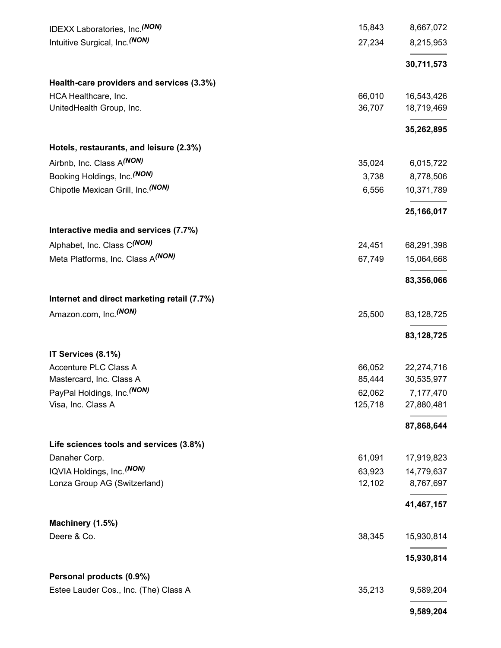| IDEXX Laboratories, Inc. (NON)              | 15,843  | 8,667,072  |
|---------------------------------------------|---------|------------|
| Intuitive Surgical, Inc. (NON)              | 27,234  | 8,215,953  |
|                                             |         | 30,711,573 |
| Health-care providers and services (3.3%)   |         |            |
| HCA Healthcare, Inc.                        | 66,010  | 16,543,426 |
| UnitedHealth Group, Inc.                    | 36,707  | 18,719,469 |
|                                             |         | 35,262,895 |
| Hotels, restaurants, and leisure (2.3%)     |         |            |
| Airbnb, Inc. Class A(NON)                   | 35,024  | 6,015,722  |
| Booking Holdings, Inc. (NON)                | 3,738   | 8,778,506  |
| Chipotle Mexican Grill, Inc. (NON)          | 6,556   | 10,371,789 |
|                                             |         | 25,166,017 |
| Interactive media and services (7.7%)       |         |            |
| Alphabet, Inc. Class C(NON)                 | 24,451  | 68,291,398 |
| Meta Platforms, Inc. Class A(NON)           | 67,749  | 15,064,668 |
|                                             |         | 83,356,066 |
| Internet and direct marketing retail (7.7%) |         |            |
| Amazon.com, Inc. <sup>(NON)</sup>           | 25,500  | 83,128,725 |
|                                             |         | 83,128,725 |
| IT Services (8.1%)                          |         |            |
| Accenture PLC Class A                       | 66,052  | 22,274,716 |
| Mastercard, Inc. Class A                    | 85,444  | 30,535,977 |
| PayPal Holdings, Inc. (NON)                 | 62,062  | 7,177,470  |
| Visa, Inc. Class A                          | 125,718 | 27,880,481 |
|                                             |         | 87,868,644 |
| Life sciences tools and services (3.8%)     |         |            |
| Danaher Corp.                               | 61,091  | 17,919,823 |
| IQVIA Holdings, Inc. (NON)                  | 63,923  | 14,779,637 |
| Lonza Group AG (Switzerland)                | 12,102  | 8,767,697  |
|                                             |         | 41,467,157 |
| Machinery (1.5%)                            |         |            |
| Deere & Co.                                 | 38,345  | 15,930,814 |
|                                             |         | 15,930,814 |
| Personal products (0.9%)                    |         |            |
| Estee Lauder Cos., Inc. (The) Class A       | 35,213  | 9,589,204  |
|                                             |         | 9,589,204  |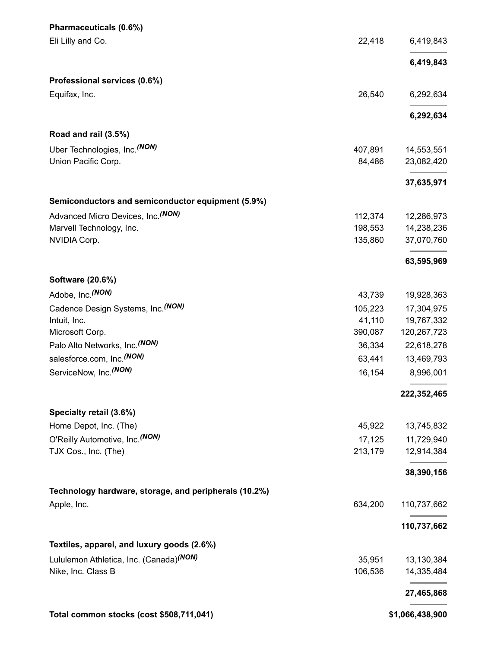| Pharmaceuticals (0.6%)                                |         |                 |
|-------------------------------------------------------|---------|-----------------|
| Eli Lilly and Co.                                     | 22,418  | 6,419,843       |
|                                                       |         | 6,419,843       |
| Professional services (0.6%)                          |         |                 |
| Equifax, Inc.                                         | 26,540  | 6,292,634       |
|                                                       |         | 6,292,634       |
| Road and rail (3.5%)                                  |         |                 |
| Uber Technologies, Inc. <sup>(NON)</sup>              | 407,891 | 14,553,551      |
| Union Pacific Corp.                                   | 84,486  | 23,082,420      |
|                                                       |         | 37,635,971      |
| Semiconductors and semiconductor equipment (5.9%)     |         |                 |
| Advanced Micro Devices, Inc. (NON)                    | 112,374 | 12,286,973      |
| Marvell Technology, Inc.                              | 198,553 | 14,238,236      |
| NVIDIA Corp.                                          | 135,860 | 37,070,760      |
|                                                       |         | 63,595,969      |
| Software (20.6%)                                      |         |                 |
| Adobe, Inc. (NON)                                     | 43,739  | 19,928,363      |
| Cadence Design Systems, Inc. (NON)                    | 105,223 | 17,304,975      |
| Intuit, Inc.                                          | 41,110  | 19,767,332      |
| Microsoft Corp.                                       | 390,087 | 120,267,723     |
| Palo Alto Networks, Inc. (NON)                        | 36,334  | 22,618,278      |
| salesforce.com, Inc. <sup>(NON)</sup>                 | 63,441  | 13,469,793      |
| ServiceNow, Inc. <sup>(NON)</sup>                     | 16,154  | 8,996,001       |
|                                                       |         | 222,352,465     |
| Specialty retail (3.6%)                               |         |                 |
| Home Depot, Inc. (The)                                | 45,922  | 13,745,832      |
| O'Reilly Automotive, Inc. (NON)                       | 17,125  | 11,729,940      |
| TJX Cos., Inc. (The)                                  | 213,179 | 12,914,384      |
|                                                       |         | 38,390,156      |
| Technology hardware, storage, and peripherals (10.2%) |         |                 |
| Apple, Inc.                                           | 634,200 | 110,737,662     |
|                                                       |         | 110,737,662     |
| Textiles, apparel, and luxury goods (2.6%)            |         |                 |
| Lululemon Athletica, Inc. (Canada) <sup>(NON)</sup>   | 35,951  | 13,130,384      |
| Nike, Inc. Class B                                    | 106,536 | 14,335,484      |
|                                                       |         | 27,465,868      |
| Total common stocks (cost \$508,711,041)              |         | \$1,066,438,900 |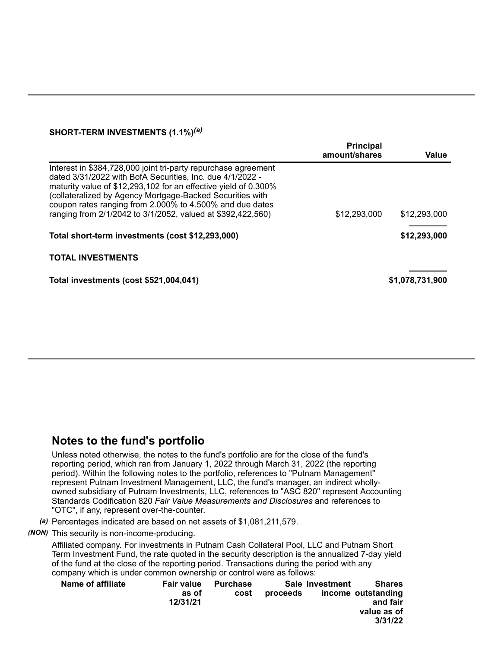## **SHORT-TERM INVESTMENTS (1.1%)** *(a)*

|                                                                                                                                                                                                                                                                                                                                                                                        | <b>Principal</b><br>amount/shares | Value           |
|----------------------------------------------------------------------------------------------------------------------------------------------------------------------------------------------------------------------------------------------------------------------------------------------------------------------------------------------------------------------------------------|-----------------------------------|-----------------|
| Interest in \$384,728,000 joint tri-party repurchase agreement<br>dated 3/31/2022 with BofA Securities, Inc. due 4/1/2022 -<br>maturity value of \$12,293,102 for an effective yield of 0.300%<br>(collateralized by Agency Mortgage-Backed Securities with<br>coupon rates ranging from 2.000% to 4.500% and due dates<br>ranging from 2/1/2042 to 3/1/2052, valued at \$392,422,560) | \$12,293,000                      | \$12,293,000    |
| Total short-term investments (cost \$12,293,000)                                                                                                                                                                                                                                                                                                                                       |                                   | \$12,293,000    |
| <b>TOTAL INVESTMENTS</b>                                                                                                                                                                                                                                                                                                                                                               |                                   |                 |
| Total investments (cost \$521,004,041)                                                                                                                                                                                                                                                                                                                                                 |                                   | \$1,078,731,900 |

# **Notes to the fund's portfolio**

Unless noted otherwise, the notes to the fund's portfolio are for the close of the fund's reporting period, which ran from January 1, 2022 through March 31, 2022 (the reporting period). Within the following notes to the portfolio, references to "Putnam Management" represent Putnam Investment Management, LLC, the fund's manager, an indirect whollyowned subsidiary of Putnam Investments, LLC, references to "ASC 820" represent Accounting Standards Codification 820 *Fair Value Measurements and Disclosures* and references to "OTC", if any, represent over-the-counter.

*(a)* Percentages indicated are based on net assets of \$1,081,211,579.

*(NON)* This security is non-income-producing.

Affiliated company. For investments in Putnam Cash Collateral Pool, LLC and Putnam Short Term Investment Fund, the rate quoted in the security description is the annualized 7-day yield of the fund at the close of the reporting period. Transactions during the period with any company which is under common ownership or control were as follows:

| <b>Name of affiliate</b> | <b>Fair value</b><br>as of<br>12/31/21 | <b>Purchase</b><br>cost | proceeds | Sale Investment | <b>Shares</b><br>income outstanding<br>and fair<br>value as of |
|--------------------------|----------------------------------------|-------------------------|----------|-----------------|----------------------------------------------------------------|
|                          |                                        |                         |          |                 | 3/31/22                                                        |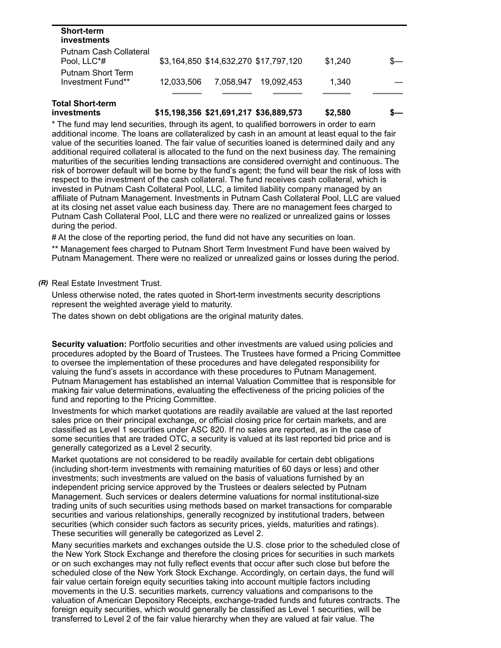| <b>Short-term</b><br>investments       |            |           |                                       |         |  |
|----------------------------------------|------------|-----------|---------------------------------------|---------|--|
| Putnam Cash Collateral<br>Pool, LLC*#  |            |           | \$3,164,850 \$14,632,270 \$17,797,120 | \$1.240 |  |
| Putnam Short Term<br>Investment Fund** | 12.033.506 | 7.058.947 | 19.092.453                            | 1.340   |  |
| Intal Short <sub>-</sub> term          |            |           |                                       |         |  |

#### **Total Short-term investments \$15,198,356 \$21,691,217 \$36,889,573 \$2,580 \$—**

\* The fund may lend securities, through its agent, to qualified borrowers in order to earn additional income. The loans are collateralized by cash in an amount at least equal to the fair value of the securities loaned. The fair value of securities loaned is determined daily and any additional required collateral is allocated to the fund on the next business day. The remaining maturities of the securities lending transactions are considered overnight and continuous. The risk of borrower default will be borne by the fund's agent; the fund will bear the risk of loss with respect to the investment of the cash collateral. The fund receives cash collateral, which is invested in Putnam Cash Collateral Pool, LLC, a limited liability company managed by an affiliate of Putnam Management. Investments in Putnam Cash Collateral Pool, LLC are valued at its closing net asset value each business day. There are no management fees charged to Putnam Cash Collateral Pool, LLC and there were no realized or unrealized gains or losses during the period.

# At the close of the reporting period, the fund did not have any securities on loan.

\*\* Management fees charged to Putnam Short Term Investment Fund have been waived by Putnam Management. There were no realized or unrealized gains or losses during the period.

### *(R)* Real Estate Investment Trust.

Unless otherwise noted, the rates quoted in Short-term investments security descriptions represent the weighted average yield to maturity.

The dates shown on debt obligations are the original maturity dates.

**Security valuation:** Portfolio securities and other investments are valued using policies and procedures adopted by the Board of Trustees. The Trustees have formed a Pricing Committee to oversee the implementation of these procedures and have delegated responsibility for valuing the fund's assets in accordance with these procedures to Putnam Management. Putnam Management has established an internal Valuation Committee that is responsible for making fair value determinations, evaluating the effectiveness of the pricing policies of the fund and reporting to the Pricing Committee.

Investments for which market quotations are readily available are valued at the last reported sales price on their principal exchange, or official closing price for certain markets, and are classified as Level 1 securities under ASC 820. If no sales are reported, as in the case of some securities that are traded OTC, a security is valued at its last reported bid price and is generally categorized as a Level 2 security.

Market quotations are not considered to be readily available for certain debt obligations (including short-term investments with remaining maturities of 60 days or less) and other investments; such investments are valued on the basis of valuations furnished by an independent pricing service approved by the Trustees or dealers selected by Putnam Management. Such services or dealers determine valuations for normal institutional-size trading units of such securities using methods based on market transactions for comparable securities and various relationships, generally recognized by institutional traders, between securities (which consider such factors as security prices, yields, maturities and ratings). These securities will generally be categorized as Level 2.

Many securities markets and exchanges outside the U.S. close prior to the scheduled close of the New York Stock Exchange and therefore the closing prices for securities in such markets or on such exchanges may not fully reflect events that occur after such close but before the scheduled close of the New York Stock Exchange. Accordingly, on certain days, the fund will fair value certain foreign equity securities taking into account multiple factors including movements in the U.S. securities markets, currency valuations and comparisons to the valuation of American Depository Receipts, exchange-traded funds and futures contracts. The foreign equity securities, which would generally be classified as Level 1 securities, will be transferred to Level 2 of the fair value hierarchy when they are valued at fair value. The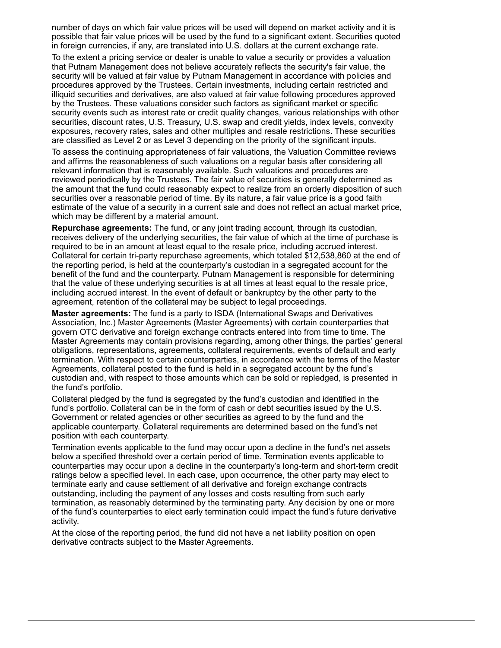number of days on which fair value prices will be used will depend on market activity and it is possible that fair value prices will be used by the fund to a significant extent. Securities quoted in foreign currencies, if any, are translated into U.S. dollars at the current exchange rate.

To the extent a pricing service or dealer is unable to value a security or provides a valuation that Putnam Management does not believe accurately reflects the security's fair value, the security will be valued at fair value by Putnam Management in accordance with policies and procedures approved by the Trustees. Certain investments, including certain restricted and illiquid securities and derivatives, are also valued at fair value following procedures approved by the Trustees. These valuations consider such factors as significant market or specific security events such as interest rate or credit quality changes, various relationships with other securities, discount rates, U.S. Treasury, U.S. swap and credit yields, index levels, convexity exposures, recovery rates, sales and other multiples and resale restrictions. These securities are classified as Level 2 or as Level 3 depending on the priority of the significant inputs.

To assess the continuing appropriateness of fair valuations, the Valuation Committee reviews and affirms the reasonableness of such valuations on a regular basis after considering all relevant information that is reasonably available. Such valuations and procedures are reviewed periodically by the Trustees. The fair value of securities is generally determined as the amount that the fund could reasonably expect to realize from an orderly disposition of such securities over a reasonable period of time. By its nature, a fair value price is a good faith estimate of the value of a security in a current sale and does not reflect an actual market price, which may be different by a material amount.

**Repurchase agreements:** The fund, or any joint trading account, through its custodian, receives delivery of the underlying securities, the fair value of which at the time of purchase is required to be in an amount at least equal to the resale price, including accrued interest. Collateral for certain tri-party repurchase agreements, which totaled \$12,538,860 at the end of the reporting period, is held at the counterparty's custodian in a segregated account for the benefit of the fund and the counterparty. Putnam Management is responsible for determining that the value of these underlying securities is at all times at least equal to the resale price, including accrued interest. In the event of default or bankruptcy by the other party to the agreement, retention of the collateral may be subject to legal proceedings.

**Master agreements:** The fund is a party to ISDA (International Swaps and Derivatives Association, Inc.) Master Agreements (Master Agreements) with certain counterparties that govern OTC derivative and foreign exchange contracts entered into from time to time. The Master Agreements may contain provisions regarding, among other things, the parties' general obligations, representations, agreements, collateral requirements, events of default and early termination. With respect to certain counterparties, in accordance with the terms of the Master Agreements, collateral posted to the fund is held in a segregated account by the fund's custodian and, with respect to those amounts which can be sold or repledged, is presented in the fund's portfolio.

Collateral pledged by the fund is segregated by the fund's custodian and identified in the fund's portfolio. Collateral can be in the form of cash or debt securities issued by the U.S. Government or related agencies or other securities as agreed to by the fund and the applicable counterparty. Collateral requirements are determined based on the fund's net position with each counterparty.

Termination events applicable to the fund may occur upon a decline in the fund's net assets below a specified threshold over a certain period of time. Termination events applicable to counterparties may occur upon a decline in the counterparty's long-term and short-term credit ratings below a specified level. In each case, upon occurrence, the other party may elect to terminate early and cause settlement of all derivative and foreign exchange contracts outstanding, including the payment of any losses and costs resulting from such early termination, as reasonably determined by the terminating party. Any decision by one or more of the fund's counterparties to elect early termination could impact the fund's future derivative activity.

At the close of the reporting period, the fund did not have a net liability position on open derivative contracts subject to the Master Agreements.